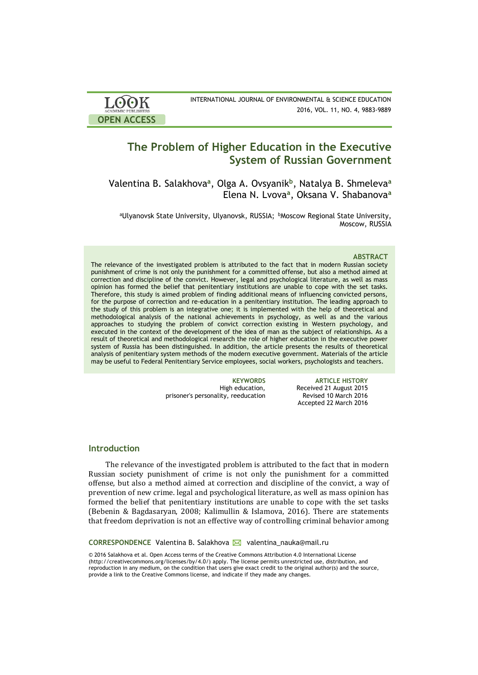

INTERNATIONAL JOURNAL OF ENVIRONMENTAL & SCIENCE EDUCATION 2016, VOL. 11, NO. 4, 9883-9889

# **The Problem of Higher Education in the Executive System of Russian Government**

Valentina B. Salakhova**<sup>a</sup>** , Olga A. Ovsyanik**<sup>b</sup>** , Natalya B. Shmeleva**<sup>a</sup>** Elena N. Lvova**<sup>a</sup>** , Oksana V. Shabanova**<sup>a</sup>**

aUlyanovsk State University, Ulyanovsk, RUSSIA; bMoscow Regional State University, Moscow, RUSSIA

### **ABSTRACT**

The relevance of the investigated problem is attributed to the fact that in modern Russian society punishment of crime is not only the punishment for a committed offense, but also a method aimed at correction and discipline of the convict. However, legal and psychological literature, as well as mass opinion has formed the belief that penitentiary institutions are unable to cope with the set tasks. Therefore, this study is aimed problem of finding additional means of influencing convicted persons, for the purpose of correction and re-education in a penitentiary institution. The leading approach to the study of this problem is an integrative one; it is implemented with the help of theoretical and methodological analysis of the national achievements in psychology, as well as and the various approaches to studying the problem of convict correction existing in Western psychology, and executed in the context of the development of the idea of man as the subject of relationships. As a result of theoretical and methodological research the role of higher education in the executive power system of Russia has been distinguished. In addition, the article presents the results of theoretical analysis of penitentiary system methods of the modern executive government. Materials of the article may be useful to Federal Penitentiary Service employees, social workers, psychologists and teachers.

> High education, prisoner's personality, reeducation

**KEYWORDS ARTICLE HISTORY** Received 21 August 2015 Revised 10 March 2016 Accepted 22 March 2016

# **Introduction**

The relevance of the investigated problem is attributed to the fact that in modern Russian society punishment of crime is not only the punishment for a committed offense, but also a method aimed at correction and discipline of the convict, a way of prevention of new crime. legal and psychological literature, as well as mass opinion has formed the belief that penitentiary institutions are unable to cope with the set tasks (Bebenin & Bagdasaryan, 2008; Kalimullin & Islamova, 2016). There are statements that freedom deprivation is not an effective way of controlling criminal behavior among

**CORRESPONDENCE** Valentina B. Salakhova Valentina nauka@mail.ru

© 2016 Salakhova et al. Open Access terms of the Creative Commons Attribution 4.0 International License (http://creativecommons.org/licenses/by/4.0/) apply. The license permits unrestricted use, distribution, and reproduction in any medium, on the condition that users give exact credit to the original author(s) and the source, provide a link to the Creative Commons license, and indicate if they made any changes.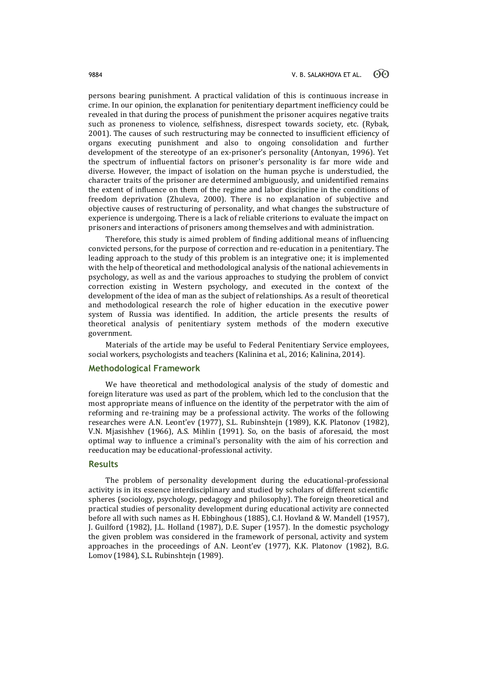persons bearing punishment. A practical validation of this is continuous increase in crime. In our opinion, the explanation for penitentiary department inefficiency could be revealed in that during the process of punishment the prisoner acquires negative traits such as proneness to violence, selfishness, disrespect towards society, etc. (Rybak, 2001). The causes of such restructuring may be connected to insufficient efficiency of organs executing punishment and also to ongoing consolidation and further development of the stereotype of an ex-prisoner's personality (Antonyan, 1996). Yet the spectrum of influential factors on prisoner's personality is far more wide and diverse. However, the impact of isolation on the human psyche is understudied, the character traits of the prisoner are determined ambiguously, and unidentified remains the extent of influence on them of the regime and labor discipline in the conditions of freedom deprivation (Zhuleva, 2000). There is no explanation of subjective and objective causes of restructuring of personality, and what changes the substructure of experience is undergoing. There is a lack of reliable criterions to evaluate the impact on prisoners and interactions of prisoners among themselves and with administration.

Therefore, this study is aimed problem of finding additional means of influencing convicted persons, for the purpose of correction and re-education in a penitentiary. The leading approach to the study of this problem is an integrative one; it is implemented with the help of theoretical and methodological analysis of the national achievements in psychology, as well as and the various approaches to studying the problem of convict correction existing in Western psychology, and executed in the context of the development of the idea of man as the subject of relationships. As a result of theoretical and methodological research the role of higher education in the executive power system of Russia was identified. In addition, the article presents the results of theoretical analysis of penitentiary system methods of the modern executive government.

Materials of the article may be useful to Federal Penitentiary Service employees, social workers, psychologists and teachers (Kalinina et al., 2016; Kalinina, 2014).

# **Methodological Framework**

We have theoretical and methodological analysis of the study of domestic and foreign literature was used as part of the problem, which led to the conclusion that the most appropriate means of influence on the identity of the perpetrator with the aim of reforming and re-training may be a professional activity. The works of the following researches were A.N. Leont'ev (1977), S.L. Rubinshtejn (1989), K.K. Platonov (1982), V.N. Mjasishhev (1966), A.S. Mihlin (1991). So, on the basis of aforesaid, the most optimal way to influence a criminal's personality with the aim of his correction and reeducation may be educational-professional activity.

### **Results**

The problem of personality development during the educational-professional activity is in its essence interdisciplinary and studied by scholars of different scientific spheres (sociology, psychology, pedagogy and philosophy). The foreign theoretical and practical studies of personality development during educational activity are connected before all with such names as H. Ebbinghous (1885), C.I. Hovland & W. Mandell (1957), J. Guilford (1982), J.L. Holland (1987), D.E. Super (1957). In the domestic psychology the given problem was considered in the framework of personal, activity and system approaches in the proceedings of A.N. Leont'ev (1977), K.K. Platonov (1982), B.G. Lomov (1984), S.L. Rubinshtejn (1989).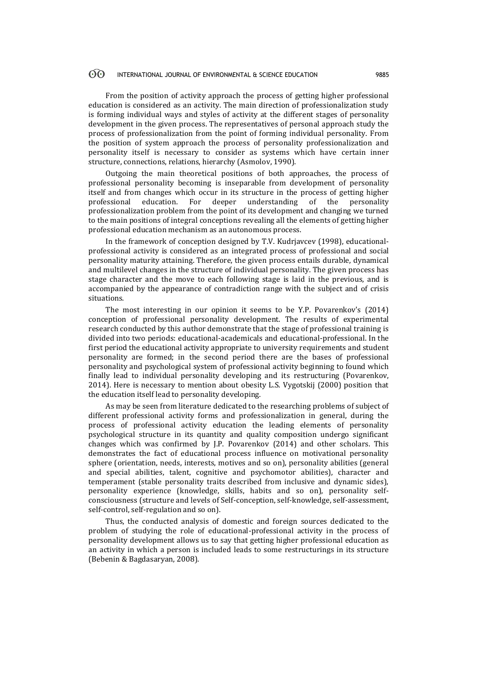#### $\odot$ INTERNATIONAL JOURNAL OF ENVIRONMENTAL & SCIENCE EDUCATION 9885

From the position of activity approach the process of getting higher professional education is considered as an activity. The main direction of professionalization study is forming individual ways and styles of activity at the different stages of personality development in the given process. The representatives of personal approach study the process of professionalization from the point of forming individual personality. From the position of system approach the process of personality professionalization and personality itself is necessary to consider as systems which have certain inner structure, connections, relations, hierarchy (Asmolov, 1990).

Outgoing the main theoretical positions of both approaches, the process of professional personality becoming is inseparable from development of personality itself and from changes which occur in its structure in the process of getting higher professional education. For deeper understanding of the personality professionalization problem from the point of its development and changing we turned to the main positions of integral conceptions revealing all the elements of getting higher professional education mechanism as an autonomous process.

In the framework of conception designed by T.V. Kudrjavcev (1998), educationalprofessional activity is considered as an integrated process of professional and social personality maturity attaining. Therefore, the given process entails durable, dynamical and multilevel changes in the structure of individual personality. The given process has stage character and the move to each following stage is laid in the previous, and is accompanied by the appearance of contradiction range with the subject and of crisis situations.

The most interesting in our opinion it seems to be Y.P. Povarenkov's (2014) conception of professional personality development. The results of experimental research conducted by this author demonstrate that the stage of professional training is divided into two periods: educational-academicals and educational-professional. In the first period the educational activity appropriate to university requirements and student personality are formed; in the second period there are the bases of professional personality and psychological system of professional activity beginning to found which finally lead to individual personality developing and its restructuring (Povarenkov, 2014). Here is necessary to mention about obesity L.S. Vygotskij (2000) position that the education itself lead to personality developing.

As may be seen from literature dedicated to the researching problems of subject of different professional activity forms and professionalization in general, during the process of professional activity education the leading elements of personality psychological structure in its quantity and quality composition undergo significant changes which was confirmed by J.P. Povarenkov (2014) and other scholars. This demonstrates the fact of educational process influence on motivational personality sphere (orientation, needs, interests, motives and so on), personality abilities (general and special abilities, talent, cognitive and psychomotor abilities), character and temperament (stable personality traits described from inclusive and dynamic sides), personality experience (knowledge, skills, habits and so on), personality selfconsciousness (structure and levels of Self-conception, self-knowledge, self-assessment, self-control, self-regulation and so on).

Thus, the conducted analysis of domestic and foreign sources dedicated to the problem of studying the role of educational-professional activity in the process of personality development allows us to say that getting higher professional education as an activity in which a person is included leads to some restructurings in its structure (Bebenin & Bagdasaryan, 2008).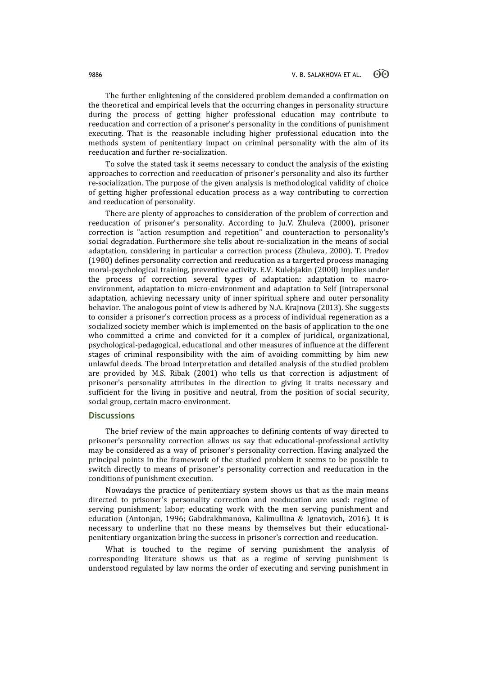The further enlightening of the considered problem demanded a confirmation on the theoretical and empirical levels that the occurring changes in personality structure during the process of getting higher professional education may contribute to reeducation and correction of a prisoner's personality in the conditions of punishment executing. That is the reasonable including higher professional education into the methods system of penitentiary impact on criminal personality with the aim of its reeducation and further re-socialization.

To solve the stated task it seems necessary to conduct the analysis of the existing approaches to correction and reeducation of prisoner's personality and also its further re-socialization. The purpose of the given analysis is methodological validity of choice of getting higher professional education process as a way contributing to correction and reeducation of personality.

There are plenty of approaches to consideration of the problem of correction and reeducation of prisoner's personality. According to Ju.V. Zhuleva (2000), prisoner correction is "action resumption and repetition" and counteraction to personality's social degradation. Furthermore she tells about re-socialization in the means of social adaptation, considering in particular a correction process (Zhuleva, 2000). T. Predov (1980) defines personality correction and reeducation as a targerted process managing moral-psychological training, preventive activity. E.V. Kulebjakin (2000) implies under the process of correction several types of adaptation: adaptation to macroenvironment, adaptation to micro-environment and adaptation to Self (intrapersonal adaptation, achieving necessary unity of inner spiritual sphere and outer personality behavior. The analogous point of view is adhered by N.A. Krajnova (2013). She suggests to consider a prisoner's correction process as a process of individual regeneration as a socialized society member which is implemented on the basis of application to the one who committed a crime and convicted for it a complex of juridical, organizational, psychological-pedagogical, educational and other measures of influence at the different stages of criminal responsibility with the aim of avoiding committing by him new unlawful deeds. The broad interpretation and detailed analysis of the studied problem are provided by M.S. Ribak (2001) who tells us that correction is adjustment of prisoner's personality attributes in the direction to giving it traits necessary and sufficient for the living in positive and neutral, from the position of social security, social group, certain macro-environment.

### **Discussions**

The brief review of the main approaches to defining contents of way directed to prisoner's personality correction allows us say that educational-professional activity may be considered as a way of prisoner's personality correction. Having analyzed the principal points in the framework of the studied problem it seems to be possible to switch directly to means of prisoner's personality correction and reeducation in the conditions of punishment execution.

Nowadays the practice of penitentiary system shows us that as the main means directed to prisoner's personality correction and reeducation are used: regime of serving punishment; labor; educating work with the men serving punishment and education (Antonjan, 1996; Gabdrakhmanova, Kalimullina & Ignatovich, 2016). It is necessary to underline that no these means by themselves but their educationalpenitentiary organization bring the success in prisoner's correction and reeducation.

What is touched to the regime of serving punishment the analysis of corresponding literature shows us that as a regime of serving punishment is understood regulated by law norms the order of executing and serving punishment in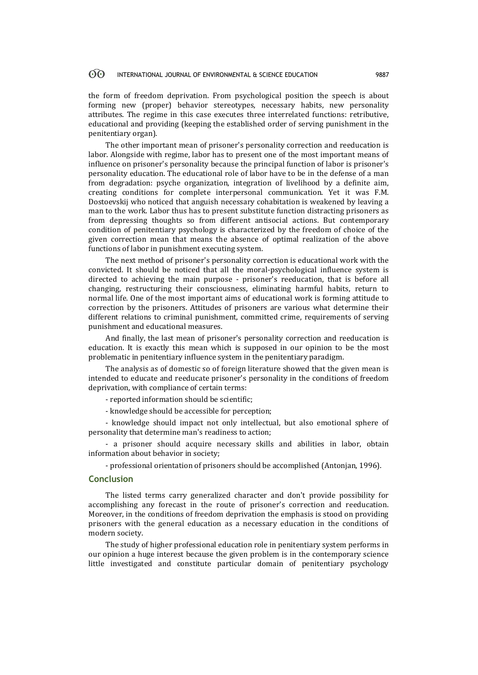#### 60 INTERNATIONAL JOURNAL OF ENVIRONMENTAL & SCIENCE EDUCATION 9887

the form of freedom deprivation. From psychological position the speech is about forming new (proper) behavior stereotypes, necessary habits, new personality attributes. The regime in this case executes three interrelated functions: retributive, educational and providing (keeping the established order of serving punishment in the penitentiary organ).

The other important mean of prisoner's personality correction and reeducation is labor. Alongside with regime, labor has to present one of the most important means of influence on prisoner's personality because the principal function of labor is prisoner's personality education. The educational role of labor have to be in the defense of a man from degradation: psyche organization, integration of livelihood by a definite aim, creating conditions for complete interpersonal communication. Yet it was F.M. Dostoevskij who noticed that anguish necessary cohabitation is weakened by leaving a man to the work. Labor thus has to present substitute function distracting prisoners as from depressing thoughts so from different antisocial actions. But contemporary condition of penitentiary psychology is characterized by the freedom of choice of the given correction mean that means the absence of optimal realization of the above functions of labor in punishment executing system.

The next method of prisoner's personality correction is educational work with the convicted. It should be noticed that all the moral-psychological influence system is directed to achieving the main purpose - prisoner's reeducation, that is before all changing, restructuring their consciousness, eliminating harmful habits, return to normal life. One of the most important aims of educational work is forming attitude to correction by the prisoners. Attitudes of prisoners are various what determine their different relations to criminal punishment, committed crime, requirements of serving punishment and educational measures.

And finally, the last mean of prisoner's personality correction and reeducation is education. It is exactly this mean which is supposed in our opinion to be the most problematic in penitentiary influence system in the penitentiary paradigm.

The analysis as of domestic so of foreign literature showed that the given mean is intended to educate and reeducate prisoner's personality in the conditions of freedom deprivation, with compliance of certain terms:

- reported information should be scientific;

- knowledge should be accessible for perception;

- knowledge should impact not only intellectual, but also emotional sphere of personality that determine man's readiness to action;

- a prisoner should acquire necessary skills and abilities in labor, obtain information about behavior in society;

- professional orientation of prisoners should be accomplished (Antonjan, 1996).

# **Conclusion**

The listed terms carry generalized character and don't provide possibility for accomplishing any forecast in the route of prisoner's correction and reeducation. Moreover, in the conditions of freedom deprivation the emphasis is stood on providing prisoners with the general education as a necessary education in the conditions of modern society.

The study of higher professional education role in penitentiary system performs in our opinion a huge interest because the given problem is in the contemporary science little investigated and constitute particular domain of penitentiary psychology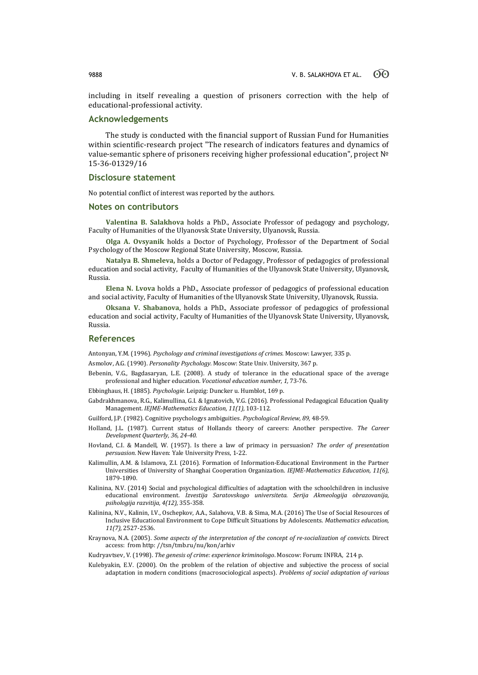including in itself revealing a question of prisoners correction with the help of educational-professional activity.

# **Acknowledgements**

The study is conducted with the financial support of Russian Fund for Humanities within scientific-research project "The research of indicators features and dynamics of value-semantic sphere of prisoners receiving higher professional education", project № 15-36-01329/16

### **Disclosure statement**

No potential conflict of interest was reported by the authors.

### **Notes on contributors**

**Valentina B. Salakhova** holds a PhD., Associate Professor of pedagogy and psychology, Faculty of Humanities of the Ulyanovsk State University, Ulyanovsk, Russia.

**Olga A. Ovsyanik** holds a Doctor of Psychology, Professor of the Department of Social Psychology of the Moscow Regional State University, Moscow, Russia.

**Natalya B. Shmeleva,** holds a Doctor of Pedagogy, Professor of pedagogics of professional education and social activity, Faculty of Humanities of the Ulyanovsk State University, Ulyanovsk, Russia.

**Elena N. Lvova** holds a PhD., Associate professor of pedagogics of professional education and social activity, Faculty of Humanities of the Ulyanovsk State University, Ulyanovsk, Russia.

**Oksana V. Shabanova**, holds a PhD., Associate professor of pedagogics of professional education and social activity, Faculty of Humanities of the Ulyanovsk State University, Ulyanovsk, Russia.

### **References**

Antonyan, Y.M. (1996). *Psychology and criminal investigations of crimes.* Moscow: Lawyer, 335 p.

Asmolov, A.G. (1990). *Personality Psychology.* Moscow: State Univ. University, 367 p.

- Bebenin, V.G., Bagdasaryan, L.E. (2008). A study of tolerance in the educational space of the average professional and higher education. *Vocational education number*, *1,* 73-76.
- Ebbinghaus, H. (1885). *Psychologie.* Leipzig: Duncker u. Humblot, 169 p.
- Gabdrakhmanova, R.G., Kalimullina, G.I. & Ignatovich, V.G. (2016). Professional Pedagogical Education Quality Management. *IEJME-Mathematics Education, 11(1)*, 103-112.

Guilford, J.P. (1982). Cognitive psychologys ambiguities. *Psychological Review, 89,* 48-59.

- Holland, J.L. (1987). Current status of Hollands theory of careers: Another perspective. *The Career Development Quarterly, 36, 24-40*.
- Hovland, C.I. & Mandell, W. (1957). Is there a law of primacy in persuasion? *The order of presentation persuasion.* New Haven: Yale University Press, 1-22.
- Kalimullin, A.M. & Islamova, Z.I. (2016). Formation of Information-Educational Environment in the Partner Universities of University of Shanghai Cooperation Organization. *IEJME-Mathematics Education, 11(6)*, 1879-1890.
- Kalinina, N.V. (2014) Social and psychological difficulties of adaptation with the schoolchildren in inclusive educational environment. *Izvestija Saratovskogo universiteta. Serija Akmeologija obrazovanija, psihologija razvitija, 4(12),* 355-358.
- Kalinina, N.V., Kalinin, I.V., Oschepkov, A.A., Salahova, V.B. & Sima, M.A. (2016) The Use of Social Resources of Inclusive Educational Environment to Cope Difficult Situations by Adolescents. *Mathematics education, 11(7),* 2527-2536.
- Kraynova, N.A. (2005). *Some aspects of the interpretation of the concept of re-socialization of convicts.* Direct access: from http: //tsn/tmb.ru/nu/kon/arhiv
- Kudryavtsev, V. (1998). *The genesis of crime: experience kriminologo*. Moscow: Forum: INFRA, 214 p.
- Kulebyakin, E.V. (2000). On the problem of the relation of objective and subjective the process of social adaptation in modern conditions (macrosociological aspects). *Problems of social adaptation of various*